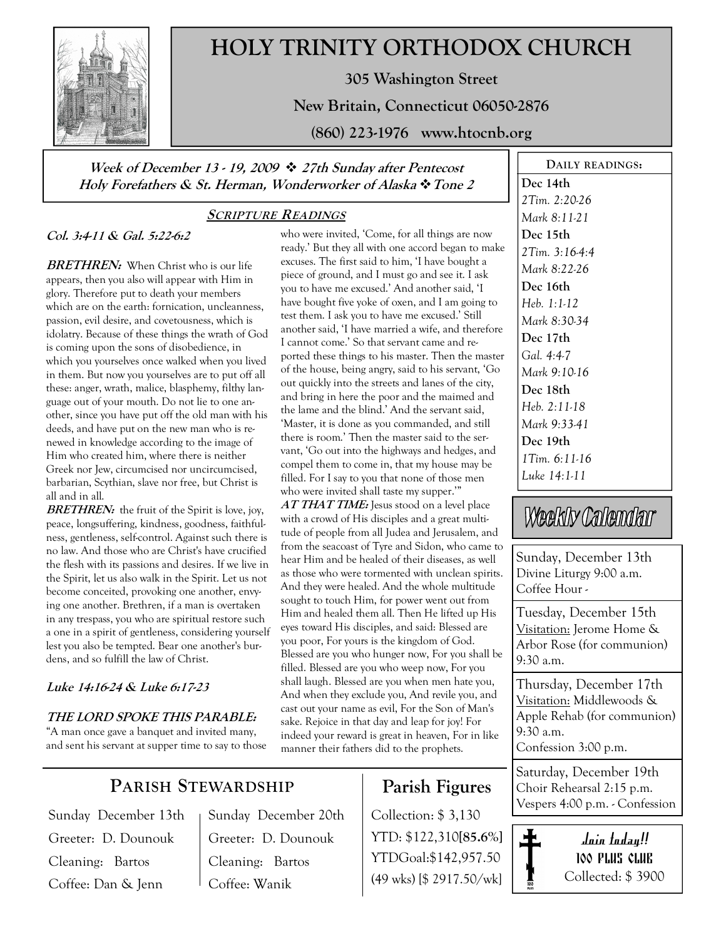

# HOLY TRINITY ORTHODOX CHURCH

305 Washington Street

New Britain, Connecticut 06050-2876

(860) 223-1976 www.htocnb.org

### Week of December 13 - 19, 2009  $\div$  27th Sunday after Pentecost Holy Forefathers  $\&$  St. Herman, Wonderworker of Alaska  $\cdot$  Tone 2

## SCRIPTURE READINGS

### Col. 3:4-11 & Gal. 5:22-6:2

**BRETHREN:** When Christ who is our life appears, then you also will appear with Him in glory. Therefore put to death your members which are on the earth: fornication, uncleanness, passion, evil desire, and covetousness, which is idolatry. Because of these things the wrath of God is coming upon the sons of disobedience, in which you yourselves once walked when you lived in them. But now you yourselves are to put off all these: anger, wrath, malice, blasphemy, filthy language out of your mouth. Do not lie to one another, since you have put off the old man with his deeds, and have put on the new man who is renewed in knowledge according to the image of Him who created him, where there is neither Greek nor Jew, circumcised nor uncircumcised, barbarian, Scythian, slave nor free, but Christ is all and in all.

**BRETHREN:** the fruit of the Spirit is love, joy, peace, longsuffering, kindness, goodness, faithfulness, gentleness, self-control. Against such there is no law. And those who are Christ's have crucified the flesh with its passions and desires. If we live in the Spirit, let us also walk in the Spirit. Let us not become conceited, provoking one another, envying one another. Brethren, if a man is overtaken in any trespass, you who are spiritual restore such a one in a spirit of gentleness, considering yourself lest you also be tempted. Bear one another's burdens, and so fulfill the law of Christ.

### Luke 14:16-24 & Luke 6:17-23

### THE LORD SPOKE THIS PARABLE:

"A man once gave a banquet and invited many, and sent his servant at supper time to say to those

#### who were invited, 'Come, for all things are now ready.' But they all with one accord began to make excuses. The first said to him, 'I have bought a piece of ground, and I must go and see it. I ask you to have me excused.' And another said, 'I have bought five yoke of oxen, and I am going to test them. I ask you to have me excused.' Still another said, 'I have married a wife, and therefore I cannot come.' So that servant came and reported these things to his master. Then the master of the house, being angry, said to his servant, 'Go out quickly into the streets and lanes of the city, and bring in here the poor and the maimed and the lame and the blind.' And the servant said, 'Master, it is done as you commanded, and still there is room.' Then the master said to the servant, 'Go out into the highways and hedges, and compel them to come in, that my house may be filled. For I say to you that none of those men who were invited shall taste my supper.'"

AT THAT TIME: Jesus stood on a level place with a crowd of His disciples and a great multitude of people from all Judea and Jerusalem, and from the seacoast of Tyre and Sidon, who came to hear Him and be healed of their diseases, as well as those who were tormented with unclean spirits. And they were healed. And the whole multitude sought to touch Him, for power went out from Him and healed them all. Then He lifted up His eyes toward His disciples, and said: Blessed are you poor, For yours is the kingdom of God. Blessed are you who hunger now, For you shall be filled. Blessed are you who weep now, For you shall laugh. Blessed are you when men hate you, And when they exclude you, And revile you, and cast out your name as evil, For the Son of Man's sake. Rejoice in that day and leap for joy! For indeed your reward is great in heaven, For in like manner their fathers did to the prophets.

# Parish Figures

Collection: \$ 3,130 YTD: \$122,310[85.6%] YTDGoal:\$142,957.50 (49 wks) [\$ 2917.50/wk]

DAILY READINGS: Dec 14th 2Tim. 2:20-26 Mark 8:11-21 Dec 15th 2Tim. 3:16-4:4 Mark 8:22-26 Dec 16th Heb. 1:1-12 Mark 8:30-34 Dec 17th Gal. 4:4-7 Mark 9:10-16 Dec 18th Heb. 2:11-18 Mark 9:33-41 Dec 19th 1Tim. 6:11-16 Luke 14:1-11

# Weekly Calendar

Sunday, December 13th Divine Liturgy 9:00 a.m. Coffee Hour -

Tuesday, December 15th Visitation: Jerome Home & Arbor Rose (for communion) 9:30 a.m.

Thursday, December 17th Visitation: Middlewoods & Apple Rehab (for communion) 9:30 a.m. Confession 3:00 p.m.

Saturday, December 19th Choir Rehearsal 2:15 p.m. Vespers 4:00 p.m. - Confession



PARISH STEWARDSHIP

Sunday December 13th Greeter: D. Dounouk Cleaning: Bartos Coffee: Dan & Jenn

Sunday December 20th Greeter: D. Dounouk Cleaning: Bartos Coffee: Wanik